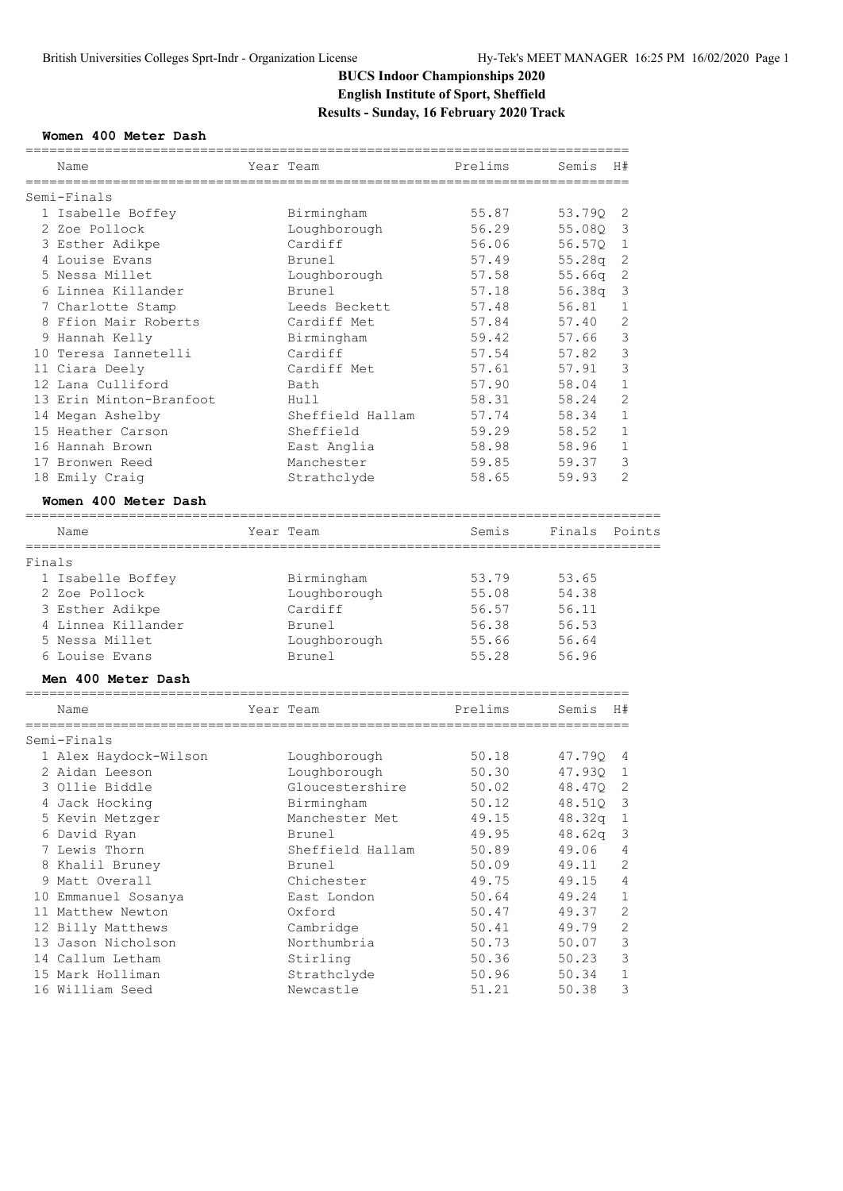## **BUCS Indoor Championships 2020 English Institute of Sport, Sheffield Results - Sunday, 16 February 2020 Track**

## **Women 400 Meter Dash**

|        | Name                                         | Year Team        | Prelims                                  | Semis  | H#             |
|--------|----------------------------------------------|------------------|------------------------------------------|--------|----------------|
|        | Semi-Finals                                  |                  |                                          |        |                |
|        | 1 Isabelle Boffey                            | Birmingham       | 55.87                                    | 53.790 | 2              |
|        | 2 Zoe Pollock                                | Loughborough     | 56.29                                    | 55.08Q | 3              |
|        | 3 Esther Adikpe                              | Cardiff          | 56.06                                    | 56.57Q | 1              |
|        | 4 Louise Evans                               | Brunel           | 57.49                                    | 55.28q | 2              |
|        | 5 Nessa Millet                               | Loughborough     | 57.58                                    | 55.66q | 2              |
|        | 6 Linnea Killander                           | Brunel           | 57.18                                    | 56.38q | 3              |
|        | 7 Charlotte Stamp                            | Leeds Beckett    | 57.48                                    | 56.81  | 1              |
|        | 8 Ffion Mair Roberts                         | Cardiff Met      | 57.84                                    | 57.40  | 2              |
|        | 9 Hannah Kelly                               | Birmingham       | 59.42                                    | 57.66  | 3              |
|        | 10 Teresa Iannetelli                         | Cardiff          | 57.54                                    | 57.82  | 3              |
|        | 11 Ciara Deely                               | Cardiff Met      | 57.61                                    | 57.91  | 3              |
|        | 12 Lana Culliford                            | Bath             | 57.90                                    | 58.04  | $\mathbf 1$    |
|        | 13 Erin Minton-Branfoot                      | Hull             | 58.31                                    | 58.24  | $\overline{c}$ |
|        | 14 Megan Ashelby                             | Sheffield Hallam | 57.74                                    | 58.34  | $\mathbf 1$    |
|        | 15 Heather Carson                            | Sheffield        | 59.29                                    | 58.52  | 1              |
|        | 16 Hannah Brown                              | East Anglia      | 58.98                                    | 58.96  | 1              |
|        | 17 Bronwen Reed                              | Manchester       | 59.85                                    | 59.37  | 3              |
|        | 18 Emily Craig                               | Strathclyde      | 58.65                                    | 59.93  | $\overline{2}$ |
|        | Women 400 Meter Dash                         |                  |                                          |        |                |
|        | ====================================<br>Name | Year Team        | -------------------------------<br>Semis | Finals | Points         |
| Finals | ===================                          | =============    |                                          |        |                |
|        | 1 Isabelle Boffey                            | Birmingham       | 53.79                                    | 53.65  |                |
|        | 2 Zoe Pollock                                | Loughborough     | 55.08                                    | 54.38  |                |
|        | 3 Esther Adikpe                              | Cardiff          | 56.57                                    | 56.11  |                |
|        | 4 Linnea Killander                           | Brunel           | 56.38                                    | 56.53  |                |
|        | 5 Nessa Millet                               | Loughborough     | 55.66                                    | 56.64  |                |
|        | 6 Louise Evans                               | Brunel           | 55.28                                    | 56.96  |                |
|        | Men 400 Meter Dash                           |                  |                                          |        |                |
|        | ____________________________<br>Name         | Year Team        | Prelims                                  | Semis  | H#             |
|        |                                              |                  |                                          |        |                |
|        | Semi-Finals<br>1 Alex Haydock-Wilson         | Loughborough     | 50.18                                    | 47.790 |                |
|        | 2 Aidan Leeson                               | Loughborough     | 50.30                                    | 47.93Q | 4<br>1         |
|        | 3 Ollie Biddle                               |                  |                                          |        |                |
|        |                                              | Gloucestershire  | 50.02<br>50.12                           | 48.47Q | 2              |
|        | 4 Jack Hocking                               | Birmingham       |                                          | 48.51Q | 3              |
|        | 5 Kevin Metzger                              | Manchester Met   | 49.15                                    | 48.32q | 1              |
|        | 6 David Ryan                                 | Brunel           | 49.95                                    | 48.62q | 3              |
|        | 7 Lewis Thorn                                | Sheffield Hallam | 50.89                                    | 49.06  | $\overline{4}$ |
|        | 8 Khalil Bruney                              | Brunel           | 50.09                                    | 49.11  | $\sqrt{2}$     |
|        | 9 Matt Overall                               | Chichester       | 49.75                                    | 49.15  | $\overline{4}$ |
|        | 10 Emmanuel Sosanya                          | East London      | 50.64                                    | 49.24  | 1              |
|        | 11 Matthew Newton                            | Oxford           | 50.47                                    | 49.37  | $\sqrt{2}$     |
|        | 12 Billy Matthews                            | Cambridge        | 50.41                                    | 49.79  | $\sqrt{2}$     |
|        | 13 Jason Nicholson                           | Northumbria      | 50.73                                    | 50.07  | $\mathsf 3$    |
|        | 14 Callum Letham                             | Stirling         | 50.36                                    | 50.23  | $\mathsf 3$    |
|        | 15 Mark Holliman                             | Strathclyde      | 50.96                                    | 50.34  | 1              |
|        | 16 William Seed                              | Newcastle        | 51.21                                    | 50.38  | 3              |